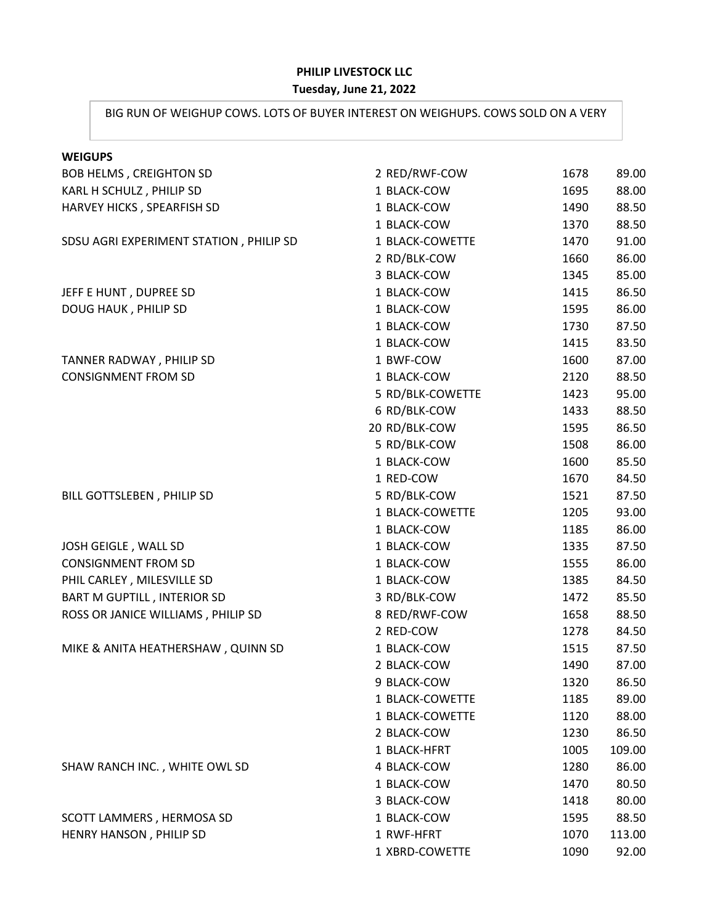## **PHILIP LIVESTOCK LLC**

## **Tuesday, June 21, 2022**

## BIG RUN OF WEIGHUP COWS. LOTS OF BUYER INTEREST ON WEIGHUPS. COWS SOLD ON A VERY

| <b>WEIGUPS</b>                          |                  |      |        |
|-----------------------------------------|------------------|------|--------|
| <b>BOB HELMS, CREIGHTON SD</b>          | 2 RED/RWF-COW    | 1678 | 89.00  |
| KARL H SCHULZ, PHILIP SD                | 1 BLACK-COW      | 1695 | 88.00  |
| HARVEY HICKS, SPEARFISH SD              | 1 BLACK-COW      | 1490 | 88.50  |
|                                         | 1 BLACK-COW      | 1370 | 88.50  |
| SDSU AGRI EXPERIMENT STATION, PHILIP SD | 1 BLACK-COWETTE  | 1470 | 91.00  |
|                                         | 2 RD/BLK-COW     | 1660 | 86.00  |
|                                         | 3 BLACK-COW      | 1345 | 85.00  |
| JEFF E HUNT, DUPREE SD                  | 1 BLACK-COW      | 1415 | 86.50  |
| DOUG HAUK, PHILIP SD                    | 1 BLACK-COW      | 1595 | 86.00  |
|                                         | 1 BLACK-COW      | 1730 | 87.50  |
|                                         | 1 BLACK-COW      | 1415 | 83.50  |
| TANNER RADWAY, PHILIP SD                | 1 BWF-COW        | 1600 | 87.00  |
| <b>CONSIGNMENT FROM SD</b>              | 1 BLACK-COW      | 2120 | 88.50  |
|                                         | 5 RD/BLK-COWETTE | 1423 | 95.00  |
|                                         | 6 RD/BLK-COW     | 1433 | 88.50  |
|                                         | 20 RD/BLK-COW    | 1595 | 86.50  |
|                                         | 5 RD/BLK-COW     | 1508 | 86.00  |
|                                         | 1 BLACK-COW      | 1600 | 85.50  |
|                                         | 1 RED-COW        | 1670 | 84.50  |
| BILL GOTTSLEBEN, PHILIP SD              | 5 RD/BLK-COW     | 1521 | 87.50  |
|                                         | 1 BLACK-COWETTE  | 1205 | 93.00  |
|                                         | 1 BLACK-COW      | 1185 | 86.00  |
| JOSH GEIGLE, WALL SD                    | 1 BLACK-COW      | 1335 | 87.50  |
| <b>CONSIGNMENT FROM SD</b>              | 1 BLACK-COW      | 1555 | 86.00  |
| PHIL CARLEY, MILESVILLE SD              | 1 BLACK-COW      | 1385 | 84.50  |
| <b>BART M GUPTILL, INTERIOR SD</b>      | 3 RD/BLK-COW     | 1472 | 85.50  |
| ROSS OR JANICE WILLIAMS, PHILIP SD      | 8 RED/RWF-COW    | 1658 | 88.50  |
|                                         | 2 RED-COW        | 1278 | 84.50  |
| MIKE & ANITA HEATHERSHAW, QUINN SD      | 1 BLACK-COW      | 1515 | 87.50  |
|                                         | 2 BLACK-COW      | 1490 | 87.00  |
|                                         | 9 BLACK-COW      | 1320 | 86.50  |
|                                         | 1 BLACK-COWETTE  | 1185 | 89.00  |
|                                         | 1 BLACK-COWETTE  | 1120 | 88.00  |
|                                         | 2 BLACK-COW      | 1230 | 86.50  |
|                                         | 1 BLACK-HFRT     | 1005 | 109.00 |
| SHAW RANCH INC., WHITE OWL SD           | 4 BLACK-COW      | 1280 | 86.00  |
|                                         | 1 BLACK-COW      | 1470 | 80.50  |
|                                         | 3 BLACK-COW      | 1418 | 80.00  |
| SCOTT LAMMERS, HERMOSA SD               | 1 BLACK-COW      | 1595 | 88.50  |
| HENRY HANSON, PHILIP SD                 | 1 RWF-HFRT       | 1070 | 113.00 |
|                                         | 1 XBRD-COWETTE   | 1090 | 92.00  |